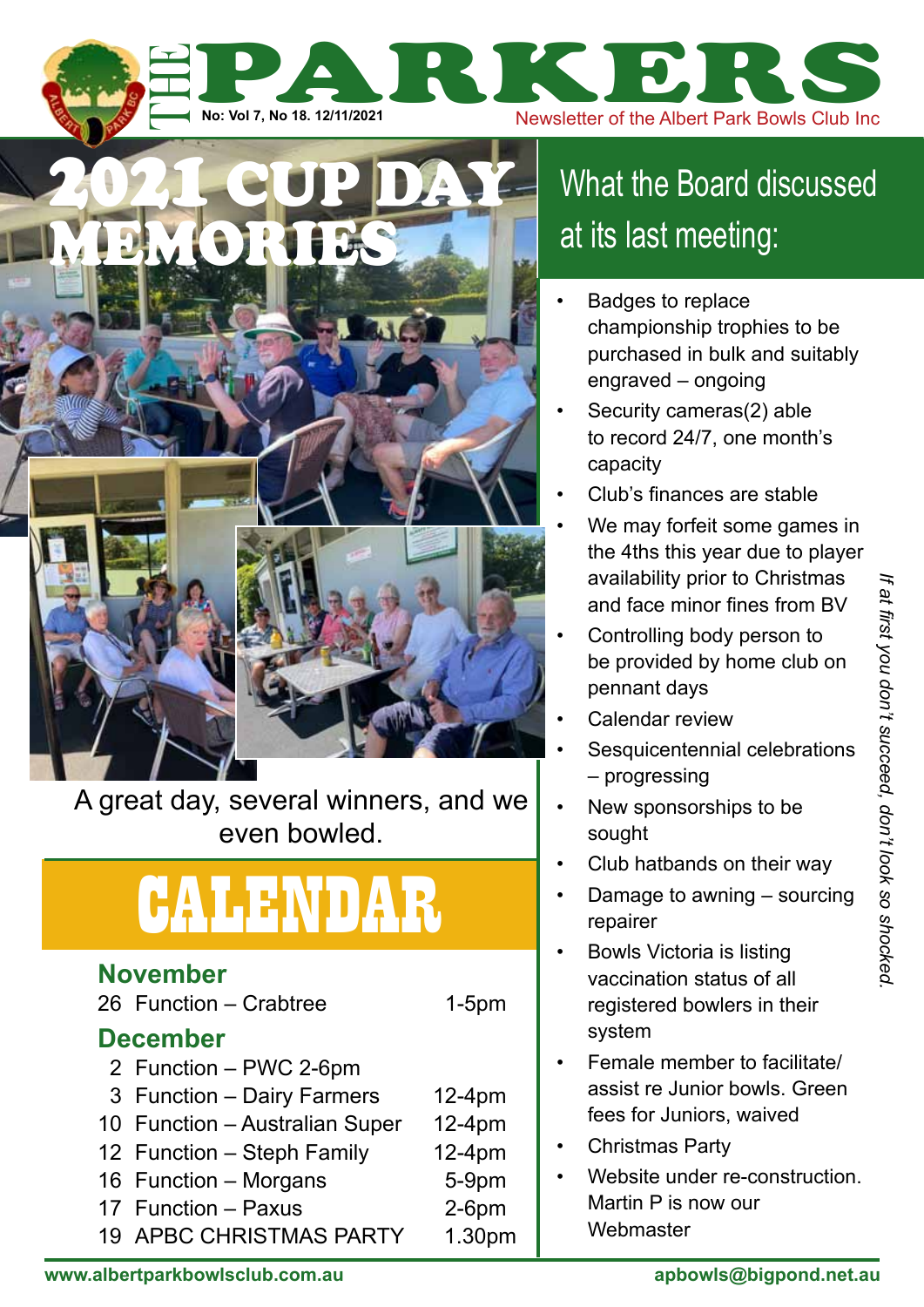A great day, several winners, and we even bowled.

2021 cup day

**DMORTIE** 

## calendar

### **November**

26 Function – Crabtree 1-5pm

#### **December**

- 2 Function PWC 2-6pm
- 3 Function Dairy Farmers 12-4pm
- 10 Function Australian Super 12-4pm
- 12 Function Steph Family 12-4pm
- 16 Function Morgans 5-9pm
- 17 Function Paxus 2-6pm
- 19 APBC CHRISTMAS PARTY 1.30pm

## What the Board discussed at its last meeting:

No: Vol 7, No 18. 12/11/2021<br>No: Vol 7, No 18. 12/11/2021

- Badges to replace championship trophies to be purchased in bulk and suitably engraved – ongoing
- Security cameras(2) able to record 24/7, one month's capacity
- Club's finances are stable
- We may forfeit some games in the 4ths this year due to player availability prior to Christmas and face minor fines from BV
- Controlling body person to be provided by home club on pennant days
- Calendar review
- Sesquicentennial celebrations – progressing
- New sponsorships to be sought
- Club hatbands on their way
- Damage to awning sourcing repairer
- Bowls Victoria is listing vaccination status of all registered bowlers in their system
- Female member to facilitate/ assist re Junior bowls. Green fees for Juniors, waived
- Christmas Party
- Website under re-construction. Martin P is now our **Webmaster**

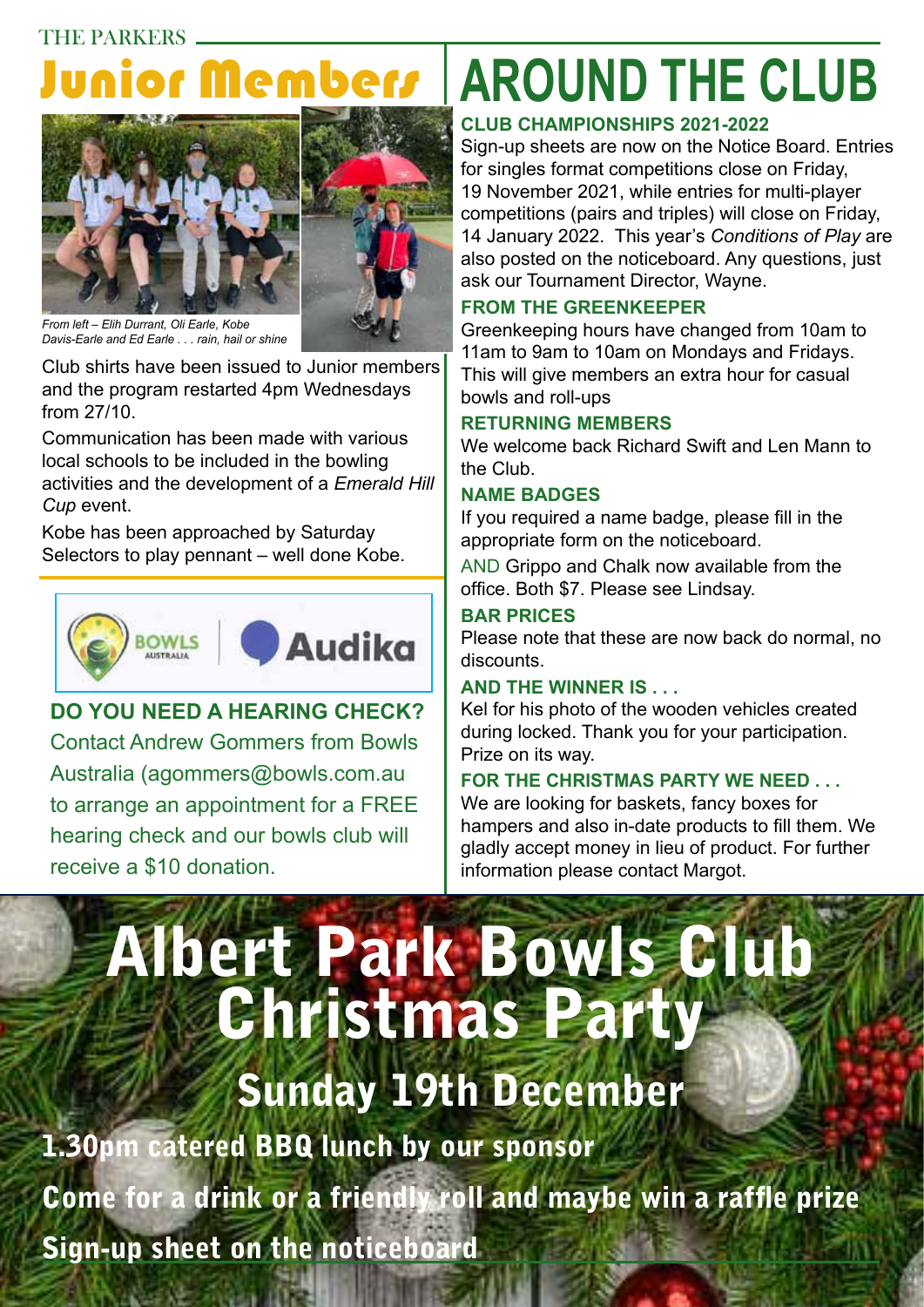### THE PARKERS Junior Members



*From left – Elih Durrant, Oli Earle, Kobe Davis-Earle and Ed Earle . . . rain, hail or shine*

Club shirts have been issued to Junior members and the program restarted 4pm Wednesdays from 27/10.

Communication has been made with various local schools to be included in the bowling activities and the development of a *Emerald Hill Cup* event.

Kobe has been approached by Saturday Selectors to play pennant – well done Kobe.



#### **Do you need a hearing check?**  Contact Andrew Gommers from Bowls

Australia (agommers@bowls.com.au to arrange an appointment for a FREE hearing check and our bowls club will receive a \$10 donation.

## **around the club**

#### **Club Championships 2021-2022**

Sign-up sheets are now on the Notice Board. Entries for singles format competitions close on Friday, 19 November 2021, while entries for multi-player competitions (pairs and triples) will close on Friday, 14 January 2022. This year's *Conditions of Play* are also posted on the noticeboard. Any questions, just ask our Tournament Director, Wayne.

#### **from the greenkeeper**

Greenkeeping hours have changed from 10am to 11am to 9am to 10am on Mondays and Fridays. This will give members an extra hour for casual bowls and roll-ups

#### **returning members**

We welcome back Richard Swift and Len Mann to the Club.

#### **name badges**

If you required a name badge, please fill in the appropriate form on the noticeboard.

AND Grippo and Chalk now available from the office. Both \$7. Please see Lindsay.

#### **Bar Prices**

Please note that these are now back do normal, no discounts.

#### **and the winner is . . .**

Kel for his photo of the wooden vehicles created during locked. Thank you for your participation. Prize on its way.

#### **for the christmas party we need . . .**

We are looking for baskets, fancy boxes for hampers and also in-date products to fill them. We gladly accept money in lieu of product. For further information please contact Margot.

# Albert Park Bowls Club Christmas Party

## Sunday 19th December

1.30pm catered BBQ lunch by our sponsor Come for a drink or a friendly roll and maybe win a raffle prize Sign-up sheet on the noticeboard